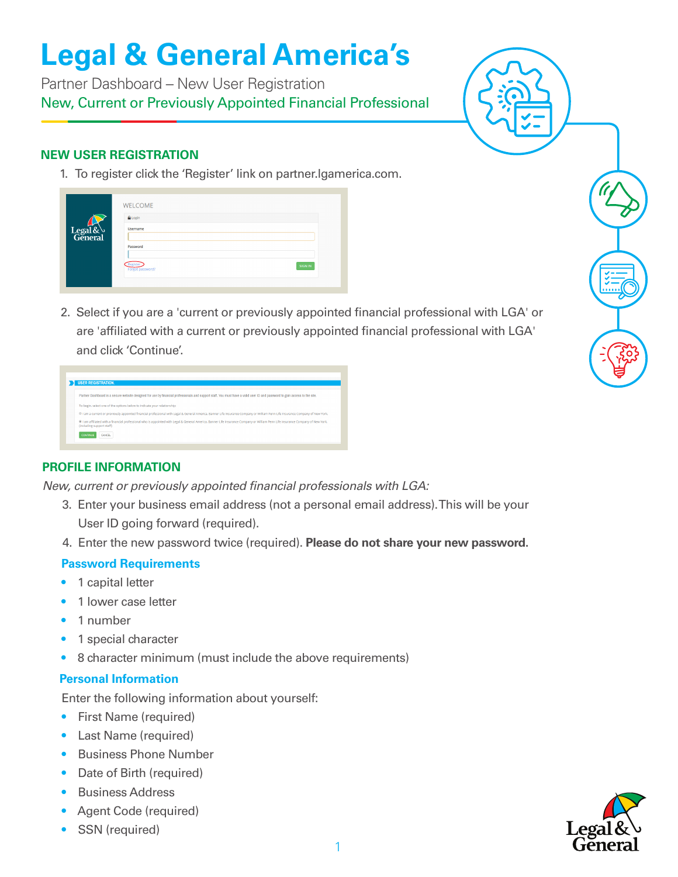Partner Dashboard – New User Registration New, Current or Previously Appointed Financial Professional

#### **NEW USER REGISTRATION**

1. To register click the 'Register' link on partner.lgamerica.com.



2. Select if you are a 'current or previously appointed financial professional with LGA' or are 'affiliated with a current or previously appointed financial professional with LGA' and click 'Continue'.

| <b>USER REGISTRATION.</b>                                                                                                                                                                                     |
|---------------------------------------------------------------------------------------------------------------------------------------------------------------------------------------------------------------|
| Partner Dashboard is a secure website designed for use by financial professionals and support staff. You must have a valid user ID and password to gain access to the site.                                   |
| To begin, select one of the options below to indicate your relationship:                                                                                                                                      |
| @ I am a current or previously appointed financial professional with Legal & General America. Banner Life Insurance Company or William Penn Life Insurance Company of New York.                               |
| @ I am affiliated with a financial professional who is appointed with Legal & General America. Banner Life Insurance Company or William Penn Life Insurance Company of New York.<br>(including support staff) |
| <b>CANCEL</b><br><b>CONTINUE</b>                                                                                                                                                                              |

#### **PROFILE INFORMATION**

*New, current or previously appointed financial professionals with LGA:*

- 3. Enter your business email address (not a personal email address). This will be your User ID going forward (required).
- 4. Enter the new password twice (required). **Please do not share your new password.**

#### **Password Requirements**

- 1 capital letter
- 1 lower case letter
- 1 number
- 1 special character
- 8 character minimum (must include the above requirements)

#### **Personal Information**

Enter the following information about yourself:

- First Name (required)
- Last Name (required)
- Business Phone Number
- Date of Birth (required)
- Business Address
- Agent Code (required)
- SSN (required)

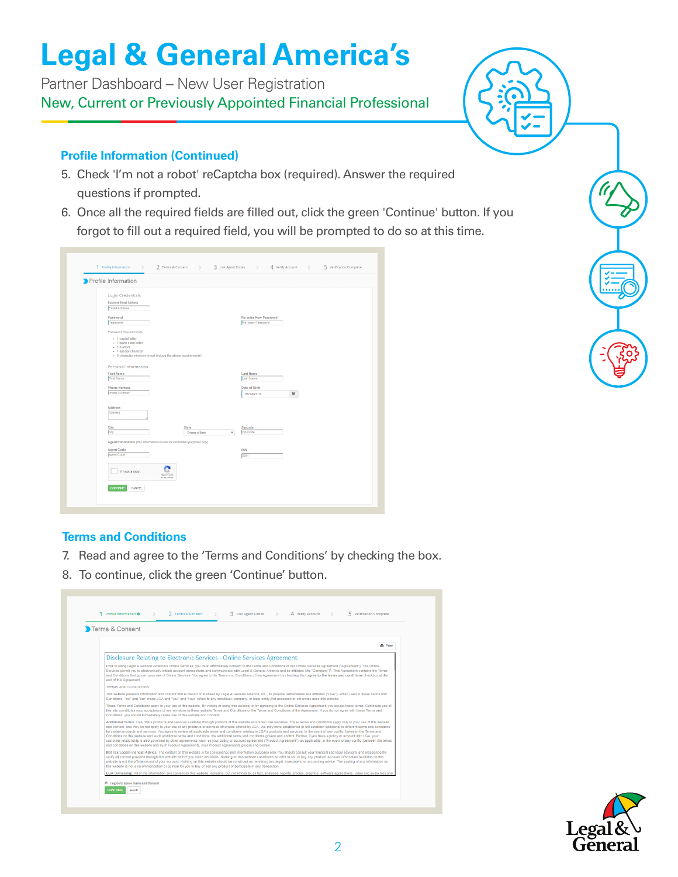Partner Dashboard – New User Registration New, Current or Previously Appointed Financial Professional

#### **Profile Information (Continued)**

- 5. Check 'I'm not a robot' reCaptcha box (required). Answer the required questions if prompted.
- 6. Once all the required fields are filled out, click the green 'Continue' button. If you forgot to fill out a required field, you will be prompted to do so at this time.

| Profile Information                            |                                                                             |                                      |  |
|------------------------------------------------|-----------------------------------------------------------------------------|--------------------------------------|--|
| <b>Login Credentials</b>                       |                                                                             |                                      |  |
| <b>Business Email Address</b><br>Email Address |                                                                             |                                      |  |
| Password                                       |                                                                             | <b>Re-enter New Password</b>         |  |
| Password                                       |                                                                             | Re-enter Password                    |  |
| Password Requirements                          |                                                                             |                                      |  |
| - 1 capital letter                             |                                                                             |                                      |  |
| - 1 lower case letter<br>$-1$ number           |                                                                             |                                      |  |
| - 1 special character                          | - 8 character minimum (must include the above requirements)                 |                                      |  |
|                                                |                                                                             |                                      |  |
| Personal Information                           |                                                                             |                                      |  |
| <b>First Name</b><br><b>First Name</b>         |                                                                             | <b>Last Name</b><br><b>Last Name</b> |  |
|                                                |                                                                             |                                      |  |
| <b>Phone Number</b><br>Phone Number            |                                                                             | Date of Birth                        |  |
|                                                |                                                                             | $\equiv$<br>08/14/2018               |  |
| <b>Address</b>                                 |                                                                             |                                      |  |
| Address                                        |                                                                             |                                      |  |
|                                                |                                                                             |                                      |  |
| City                                           | State                                                                       | Zipcode                              |  |
| City                                           | Choose a State                                                              | Zip Code<br>$\tau$                   |  |
|                                                | Agent Information (this information is used for verification purposes only) |                                      |  |
| <b>Agent Code</b><br>Agent Code                |                                                                             | <b>SSN</b>                           |  |
|                                                |                                                                             | SSN                                  |  |
|                                                |                                                                             |                                      |  |
| I'm not a robot                                | ⊵<br><b><i>REGAPTORA</i></b>                                                |                                      |  |
|                                                | Privaty * Terms                                                             |                                      |  |



#### **Terms and Conditions**

- 7. Read and agree to the 'Terms and Conditions' by checking the box.
- 8. To continue, click the green 'Continue' button.

| Terms & Consent             |                                                                                                                                                                                                                                                                                                                                                                                                                                                                                                                                                                                                                                                                                                                                                                                                                                                                                                                                                                                                                                                                                  |
|-----------------------------|----------------------------------------------------------------------------------------------------------------------------------------------------------------------------------------------------------------------------------------------------------------------------------------------------------------------------------------------------------------------------------------------------------------------------------------------------------------------------------------------------------------------------------------------------------------------------------------------------------------------------------------------------------------------------------------------------------------------------------------------------------------------------------------------------------------------------------------------------------------------------------------------------------------------------------------------------------------------------------------------------------------------------------------------------------------------------------|
|                             |                                                                                                                                                                                                                                                                                                                                                                                                                                                                                                                                                                                                                                                                                                                                                                                                                                                                                                                                                                                                                                                                                  |
|                             | <b>A</b> Print                                                                                                                                                                                                                                                                                                                                                                                                                                                                                                                                                                                                                                                                                                                                                                                                                                                                                                                                                                                                                                                                   |
|                             | Disclosure Relating to Electronic Services - Online Services Agreement.                                                                                                                                                                                                                                                                                                                                                                                                                                                                                                                                                                                                                                                                                                                                                                                                                                                                                                                                                                                                          |
| end of this Agreement.      | Prior to using Legal & General America's Online Services, you must affirmatively consent to the Terms and Conditions of our Online Services Agreement ("Agreement"). The Online<br>Services permit you to electronically initiate account transactions and communicate with Legal & General America and its affiliates (the "Company") <sup>1</sup> . This Agreement contains the Terms<br>and Conditions that govern your use of Online Services. You agree to the Terms and Conditions of this Agreement by checking the I agree to the terms and conditions checkbox at the                                                                                                                                                                                                                                                                                                                                                                                                                                                                                                   |
| <b>TERMS AND CONDITIONS</b> |                                                                                                                                                                                                                                                                                                                                                                                                                                                                                                                                                                                                                                                                                                                                                                                                                                                                                                                                                                                                                                                                                  |
|                             | This website presents information and content that is owned or licensed by Legal & General America. Inc., its parents, subsidiaries and affiliates ("LGA"). When used in these Terms and<br>Conditions, "we" and "our" mean LGA and "vou" and "vour" refers to any individual, company, or legal entity that accesses or otherwise uses this website.                                                                                                                                                                                                                                                                                                                                                                                                                                                                                                                                                                                                                                                                                                                            |
|                             | These Terms and Conditions apply to your use of this website. By visiting or using this website, or by agreeing to the Online Services Agreement, you accept these terms. Continued use of<br>this site constitutes your acceptance of any revisions to these website Terms and Conditions or the Terms and Conditions of the Agreement. If you do not agree with these Terms and<br>Conditions, you should immediately cease use of this website and Content.                                                                                                                                                                                                                                                                                                                                                                                                                                                                                                                                                                                                                   |
|                             | Additional Terms: LGA offers products and services available through portions of this website and other LGA websites. These terms and conditions apply only to your use of this website<br>and content, and they do not apply to your use of any products or services otherwise offered by LGA. We may have established or will establish additional or different terms and conditions<br>for certain products and services. You agree to review all applicable terms and conditions relating to LGA's products and services. In the event of any conflict between the Terms and<br>Conditions on this website and such additional terms and conditions, the additional terms and conditions govern and control. Further, if you have a policy or account with LGA, your<br>customer relationship is also governed by other agreements, such as your policy or account agreement ("Product Agreement"), as applicable, in the event of any conflict between the terms<br>and conditions on this website and such Product Agreements, your Product Agreements govern and control. |
|                             | Not Tax/Legal/Financial Advice: The content on this website is for convenience and information purposes only. You should consult your financial and legal advisors, and independently<br>verify all content provided through this website before you make decisions. Nothing on this website constitutes an offer to sell or buy any product. Account information available on this<br>website is not the official record of your account. Nothing on this website should be construed as rendering tax, legal, investment, or accounting advice. The posting of any information on<br>this website is not a recommendation or opinion for you to buy or sell any product or participate in any transaction.                                                                                                                                                                                                                                                                                                                                                                     |
|                             | LGA Ownership: All of the information and content on this website, including, but not limited to, all text, analyses, reports, articles, graphics, software applications, video and audio files and                                                                                                                                                                                                                                                                                                                                                                                                                                                                                                                                                                                                                                                                                                                                                                                                                                                                              |

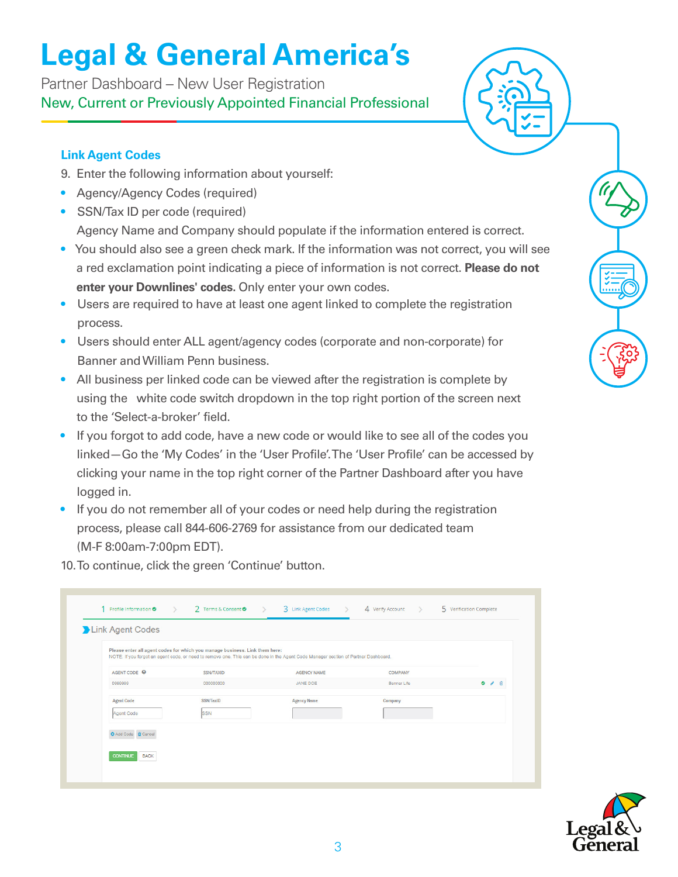Partner Dashboard – New User Registration New, Current or Previously Appointed Financial Professional

#### **Link Agent Codes**

- 9. Enter the following information about yourself:
- Agency/Agency Codes (required)
- SSN/Tax ID per code (required) Agency Name and Company should populate if the information entered is correct.
- You should also see a green check mark. If the information was not correct, you will see a red exclamation point indicating a piece of information is not correct. **Please do not enter your Downlines' codes.** Only enter your own codes.
- Users are required to have at least one agent linked to complete the registration process.
- Users should enter ALL agent/agency codes (corporate and non-corporate) for Banner and William Penn business.
- All business per linked code can be viewed after the registration is complete by using the white code switch dropdown in the top right portion of the screen next to the 'Select-a-broker' field.
- If you forgot to add code, have a new code or would like to see all of the codes you linked—Go the 'My Codes' in the 'User Profile'. The 'User Profile' can be accessed by clicking your name in the top right corner of the Partner Dashboard after you have logged in.
- If you do not remember all of your codes or need help during the registration process, please call 844-606-2769 for assistance from our dedicated team (M-F 8:00am-7:00pm EDT).
- 10. To continue, click the green 'Continue' button.

|                         | Please enter all agent codes for which you manage business. Link them here: | NOTE: If you forgot an agent code, or need to remove one. This can be done in the Agent Code Manager section of Partner Dashboard. |                    |              |
|-------------------------|-----------------------------------------------------------------------------|------------------------------------------------------------------------------------------------------------------------------------|--------------------|--------------|
| AGENT CODE <sup>O</sup> | <b>SSN/TAXID</b>                                                            | <b>AGENCY NAME</b>                                                                                                                 | <b>COMPANY</b>     |              |
| 0999999                 | 000000000                                                                   | JANE DOE                                                                                                                           | <b>Banner Life</b> | $O$ $\ell$ 8 |
| <b>Agent Code</b>       | <b>SSN/TaxID</b>                                                            | <b>Agency Name</b>                                                                                                                 | Company            |              |
| Agent Code              | SSN                                                                         |                                                                                                                                    |                    |              |
| O Add Code C Cancel     |                                                                             |                                                                                                                                    |                    |              |



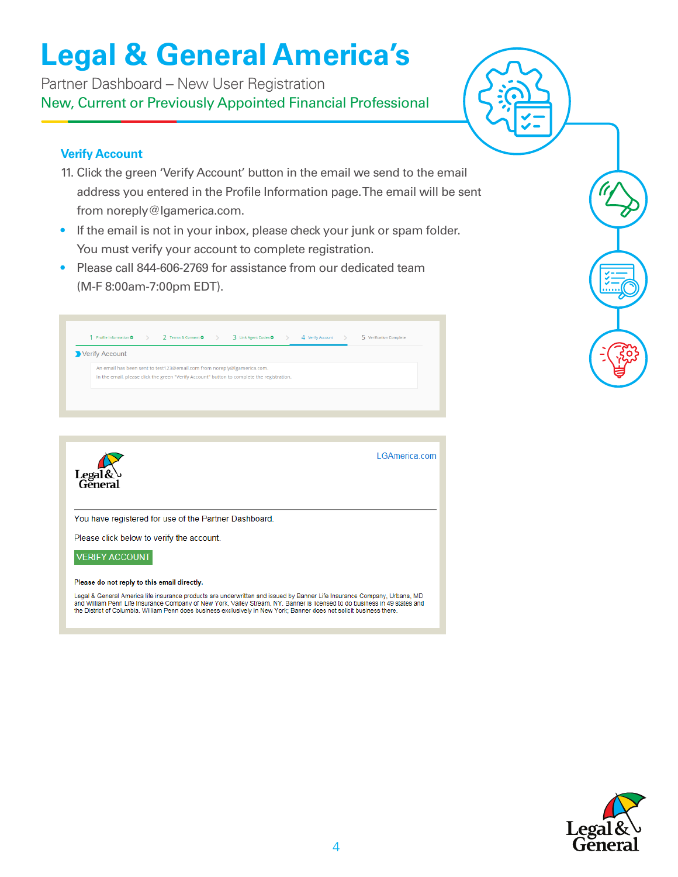Partner Dashboard – New User Registration New, Current or Previously Appointed Financial Professional

#### **Verify Account**

**VERIFY ACCOUNT** 

Please do not reply to this email directly.

- 11. Click the green 'Verify Account' button in the email we send to the email address you entered in the Profile Information page. The email will be sent from noreply@lgamerica.com.
- If the email is not in your inbox, please check your junk or spam folder. You must verify your account to complete registration.
- Please call 844-606-2769 for assistance from our dedicated team (M-F 8:00am-7:00pm EDT).

| An email has been sent to test123@email.com from noreply@Igamerica.com.<br>In the email, please click the green "Verify Account" button to complete the registration. |  |               |
|-----------------------------------------------------------------------------------------------------------------------------------------------------------------------|--|---------------|
|                                                                                                                                                                       |  |               |
|                                                                                                                                                                       |  |               |
| Legal&                                                                                                                                                                |  | LGAmerica.com |
| General                                                                                                                                                               |  |               |

Legal & General America life insurance products are underwritten and issued by Banner Life Insurance Company, Urbana, MD<br>and William Penn Life Insurance Company of New York, Valley Stream, NY. Banner is licensed to do busi



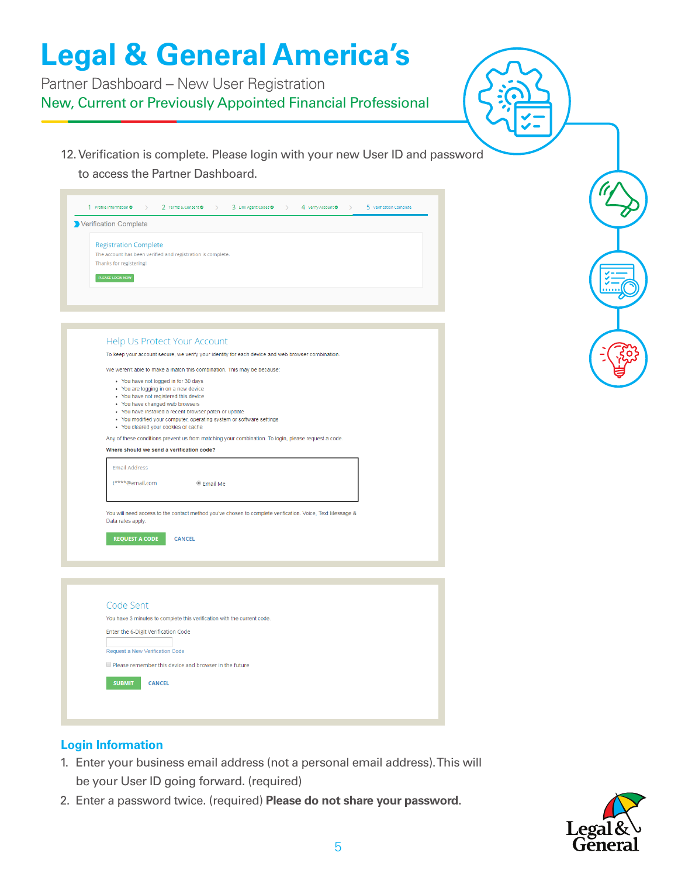Partner Dashboard – New User Registration New, Current or Previously Appointed Financial Professional

12. Verification is complete. Please login with your new User ID and password to access the Partner Dashboard.

| Verification Complete                                                                                                        |
|------------------------------------------------------------------------------------------------------------------------------|
| <b>Registration Complete</b>                                                                                                 |
| The account has been verified and registration is complete.<br>Thanks for registering!                                       |
| PLEASE LOGIN NOW                                                                                                             |
|                                                                                                                              |
|                                                                                                                              |
|                                                                                                                              |
|                                                                                                                              |
| Help Us Protect Your Account                                                                                                 |
| To keep your account secure, we verify your identity for each device and web browser combination.                            |
| We weren't able to make a match this combination. This may be because:                                                       |
| • You have not logged in for 30 days<br>• You are logging in on a new device                                                 |
| • You have not registered this device<br>• You have changed web browsers                                                     |
| • You have installed a recent browser patch or update<br>• You modified your computer, operating system or software settings |
| • You cleared your cookies or cache                                                                                          |
| Any of these conditions prevent us from matching your combination. To login, please request a code.                          |
| Where should we send a verification code?                                                                                    |
| <b>Email Address</b>                                                                                                         |
| t****@email.com<br><b>Email Me</b>                                                                                           |
|                                                                                                                              |
| You will need access to the contact method you've chosen to complete verification. Voice, Text Message &                     |
| Data rates apply.                                                                                                            |
| <b>REQUEST A CODE</b><br><b>CANCEL</b>                                                                                       |
|                                                                                                                              |
|                                                                                                                              |
|                                                                                                                              |
| Code Sent                                                                                                                    |
| You have 3 minutes to complete this verification with the current code.                                                      |
| Enter the 6-Digit Verification Code                                                                                          |
|                                                                                                                              |
| Request a New Verification Code                                                                                              |
| Please remember this device and browser in the future                                                                        |
| <b>SUBMIT</b><br><b>CANCEL</b>                                                                                               |
|                                                                                                                              |

#### **Login Information**

- 1. Enter your business email address (not a personal email address). This will be your User ID going forward. (required)
- 2. Enter a password twice. (required) **Please do not share your password.**

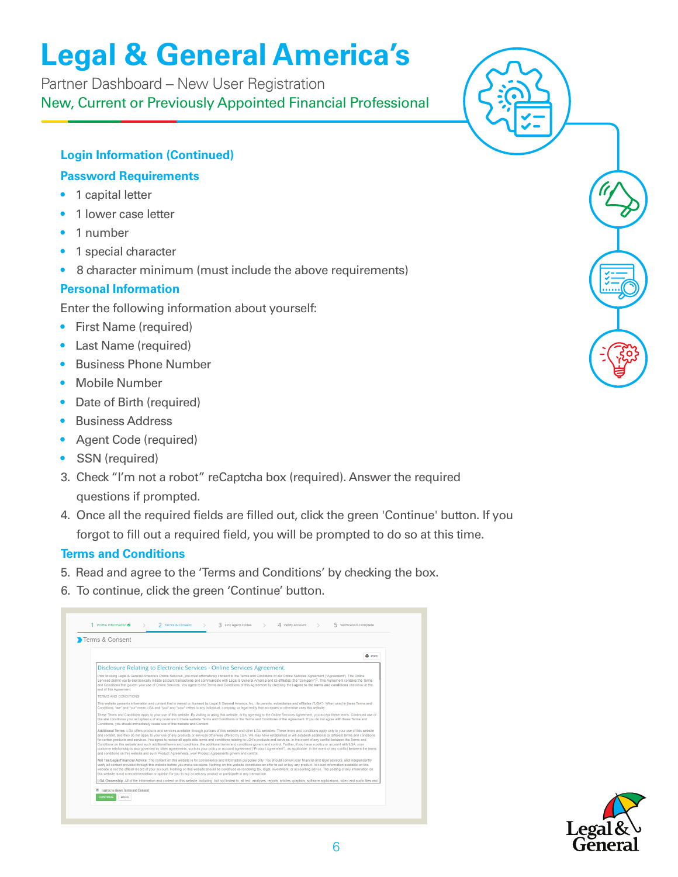Partner Dashboard – New User Registration New, Current or Previously Appointed Financial Professional

### **Login Information (Continued)**

### **Password Requirements**

- 1 capital letter
- 1 lower case letter
- 1 number
- 1 special character
- 8 character minimum (must include the above requirements)

### **Personal Information**

Enter the following information about yourself:

- First Name (required)
- Last Name (required)
- Business Phone Number
- Mobile Number
- Date of Birth (required)
- Business Address
- Agent Code (required)
- SSN (required)
- 3. Check "I'm not a robot" reCaptcha box (required). Answer the required questions if prompted.
- 4. Once all the required fields are filled out, click the green 'Continue' button. If you forgot to fill out a required field, you will be prompted to do so at this time.

### **Terms and Conditions**

- 5. Read and agree to the 'Terms and Conditions' by checking the box.
- 6. To continue, click the green 'Continue' button.

|                                                                                                                                                                                                                                                                                                                                                      | <b>A</b> Print                                                                                                                                                                                                                                                                                                                                                                                                                                                                                                                                                                                                                                                                                                                                                                                                                                                                                                                                                                                                                                                                   |  |  |  |  |
|------------------------------------------------------------------------------------------------------------------------------------------------------------------------------------------------------------------------------------------------------------------------------------------------------------------------------------------------------|----------------------------------------------------------------------------------------------------------------------------------------------------------------------------------------------------------------------------------------------------------------------------------------------------------------------------------------------------------------------------------------------------------------------------------------------------------------------------------------------------------------------------------------------------------------------------------------------------------------------------------------------------------------------------------------------------------------------------------------------------------------------------------------------------------------------------------------------------------------------------------------------------------------------------------------------------------------------------------------------------------------------------------------------------------------------------------|--|--|--|--|
|                                                                                                                                                                                                                                                                                                                                                      | Disclosure Relating to Electronic Services - Online Services Agreement.                                                                                                                                                                                                                                                                                                                                                                                                                                                                                                                                                                                                                                                                                                                                                                                                                                                                                                                                                                                                          |  |  |  |  |
| end of this Agreement.                                                                                                                                                                                                                                                                                                                               | Prior to using Legal & General America's Online Services, you must affirmatively consent to the Terms and Conditions of our Online Services Agreement ("Agreement"). The Online<br>Services permit you to electronically initiate account transactions and communicate with Legal & General America and its affiliates (the "Company") <sup>5</sup> . This Agreement contains the Terms<br>and Conditions that govern your use of Online Services. You agree to the Terms and Conditions of this Agreement by checking the I agree to the terms and conditions checkbox at the                                                                                                                                                                                                                                                                                                                                                                                                                                                                                                   |  |  |  |  |
| <b>TERMS AND CONDITIONS</b>                                                                                                                                                                                                                                                                                                                          |                                                                                                                                                                                                                                                                                                                                                                                                                                                                                                                                                                                                                                                                                                                                                                                                                                                                                                                                                                                                                                                                                  |  |  |  |  |
| This website presents information and content that is owned or licensed by Legal & General America, Inc., its parents, subsidiaries and affiliates ("LGA"). When used in these Terms and<br>Conditions, "we" and "our" mean LGA and "you" and "you" refers to any individual, company, or legal entity that accesses or otherwise uses this website. |                                                                                                                                                                                                                                                                                                                                                                                                                                                                                                                                                                                                                                                                                                                                                                                                                                                                                                                                                                                                                                                                                  |  |  |  |  |
|                                                                                                                                                                                                                                                                                                                                                      | These Terms and Conditions apply to your use of this website. By visiting or using this website, or by agreeing to the Online Services Agreement, you accept these terms. Continued use of<br>this site constitutes your acceptance of any revisions to these website Terms and Conditions or the Terms and Conditions of the Agreement, If you do not agree with these Terms and<br>Conditions, you should immediately cease use of this website and Content.                                                                                                                                                                                                                                                                                                                                                                                                                                                                                                                                                                                                                   |  |  |  |  |
|                                                                                                                                                                                                                                                                                                                                                      | Additional Terms: LGA offers products and services available through portions of this website and other LGA websites. These terms and conditions apply only to your use of this website<br>and content, and they do not apply to your use of any products or services otherwise offered by LGA. We may have established or will establish additional or different terms and conditions<br>for certain products and services. You agree to review all applicable terms and conditions relating to LGA's products and services. In the event of any conflict between the Terms and<br>Conditions on this website and such additional terms and conditions, the additional terms and conditions govern and control. Further, if you have a policy or account with LGA, your<br>customer relationship is also governed by other agreements, such as your policy or account agreement ("Product Agreement"), as applicable, in the event of any conflict between the terms<br>and conditions on this website and such Product Agreements, your Product Agreements govern and control. |  |  |  |  |
|                                                                                                                                                                                                                                                                                                                                                      | Not Tax/Legal/Financial Advice: The content on this website is for convenience and information purposes only. You should consult your financial and legal advisors, and independently<br>verify all content provided through this website before you make decisions. Nothing on this website constitutes an offer to sell or buy any product. Account information available on this<br>website is not the official record of your account. Nothing on this website should be construed as rendering tax, legal, investment, or accounting advice. The posting of any information on<br>this website is not a recommendation or opinion for you to buy or sell any product or participate in any transaction.                                                                                                                                                                                                                                                                                                                                                                     |  |  |  |  |
|                                                                                                                                                                                                                                                                                                                                                      | LGA Ownership: All of the information and content on this website, including, but not limited to, all text, analyses, reports, articles, graphics, software applications, video and audio files and                                                                                                                                                                                                                                                                                                                                                                                                                                                                                                                                                                                                                                                                                                                                                                                                                                                                              |  |  |  |  |



6

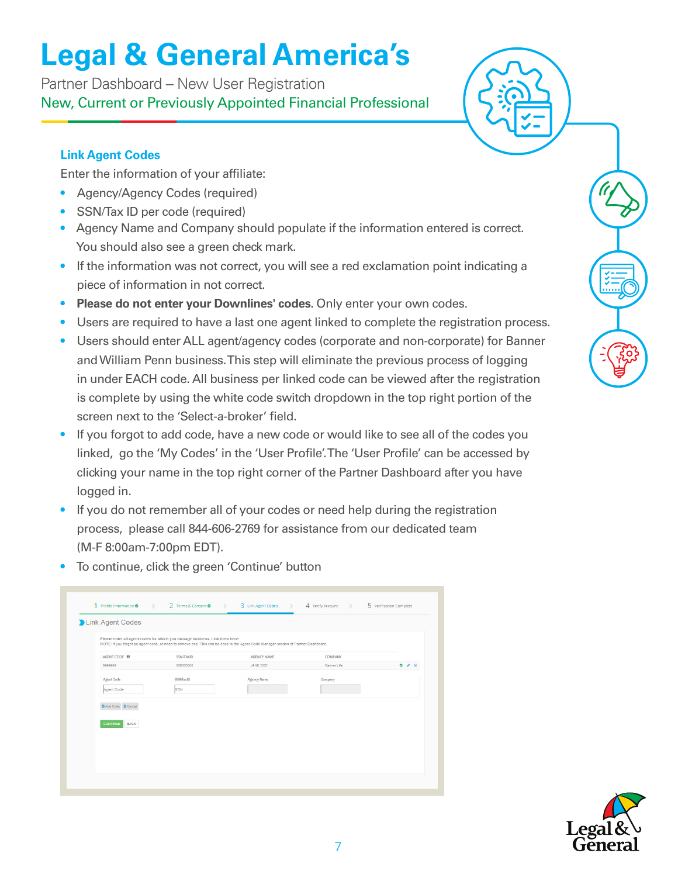Partner Dashboard – New User Registration New, Current or Previously Appointed Financial Professional

#### **Link Agent Codes**

Enter the information of your affiliate:

- Agency/Agency Codes (required)
- SSN/Tax ID per code (required)
- Agency Name and Company should populate if the information entered is correct. You should also see a green check mark.
- If the information was not correct, you will see a red exclamation point indicating a piece of information in not correct.
- **Please do not enter your Downlines' codes.** Only enter your own codes.
- Users are required to have a last one agent linked to complete the registration process.
- Users should enter ALL agent/agency codes (corporate and non-corporate) for Banner and William Penn business. This step will eliminate the previous process of logging in under EACH code. All business per linked code can be viewed after the registration is complete by using the white code switch dropdown in the top right portion of the screen next to the 'Select-a-broker' field.
- If you forgot to add code, have a new code or would like to see all of the codes you linked, go the 'My Codes' in the 'User Profile'. The 'User Profile' can be accessed by clicking your name in the top right corner of the Partner Dashboard after you have logged in.
- If you do not remember all of your codes or need help during the registration process, please call 844-606-2769 for assistance from our dedicated team (M-F 8:00am-7:00pm EDT).
- To continue, click the green 'Continue' button

| AGENT CODE <sup>O</sup><br><b>SSN/TAXID</b><br><b>AGENCY NAME</b><br><b>COMPANY</b><br>$O$ / $E$<br>Banner Life<br>0999999<br>000000000<br>JANE DOE<br><b>Agent Code</b><br><b>SSN/TaxID</b><br><b>Agency Name</b><br>Company<br>SSN<br>Agent Code<br>O Add Code <b>D</b> Cancel<br><b>CONTINUE</b><br><b>BACK</b> | Please enter all agent codes for which you manage business. Link them here: | NOTE: If you forgot an agent code, or need to remove one. This can be done in the Agent Code Manager section of Partner Dashboard. |  |
|--------------------------------------------------------------------------------------------------------------------------------------------------------------------------------------------------------------------------------------------------------------------------------------------------------------------|-----------------------------------------------------------------------------|------------------------------------------------------------------------------------------------------------------------------------|--|
|                                                                                                                                                                                                                                                                                                                    |                                                                             |                                                                                                                                    |  |
|                                                                                                                                                                                                                                                                                                                    |                                                                             |                                                                                                                                    |  |
|                                                                                                                                                                                                                                                                                                                    |                                                                             |                                                                                                                                    |  |
|                                                                                                                                                                                                                                                                                                                    |                                                                             |                                                                                                                                    |  |
|                                                                                                                                                                                                                                                                                                                    |                                                                             |                                                                                                                                    |  |
|                                                                                                                                                                                                                                                                                                                    |                                                                             |                                                                                                                                    |  |



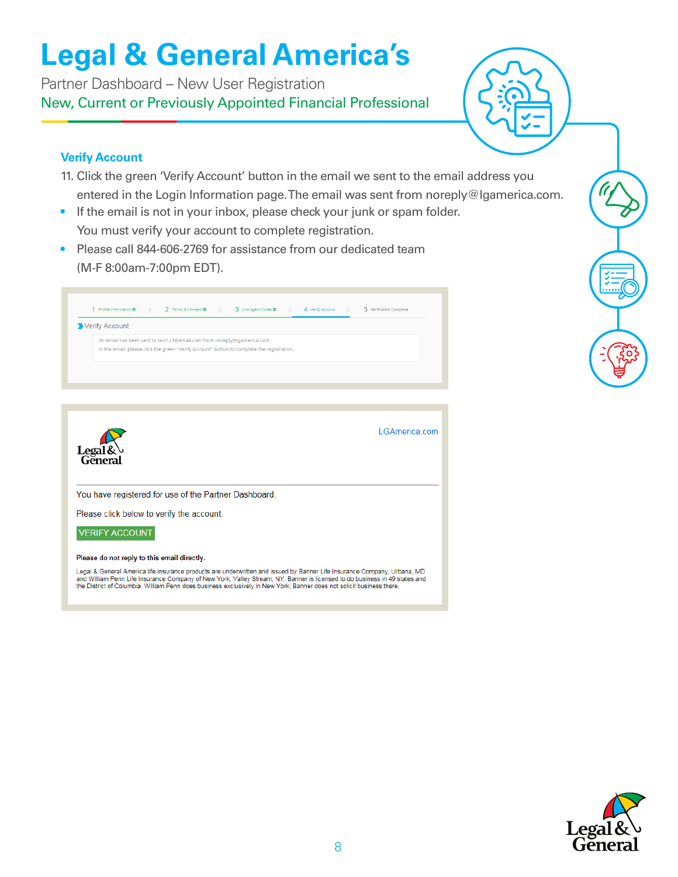Partner Dashboard – New User Registration New, Current or Previously Appointed Financial Professional

#### **Verify Account**

- 11. Click the green 'Verify Account' button in the email we sent to the email address you entered in the Login Information page. The email was sent from noreply@lgamerica.com.
- If the email is not in your inbox, please check your junk or spam folder. You must verify your account to complete registration.
- Please call 844-606-2769 for assistance from our dedicated team (M-F 8:00am-7:00pm EDT).

| Verify Account                                                                                                                                                        |  |               |
|-----------------------------------------------------------------------------------------------------------------------------------------------------------------------|--|---------------|
| An email has been sent to test123@email.com from noreply@lgamerica.com.<br>In the email, please click the green "Verify Account" button to complete the registration. |  |               |
|                                                                                                                                                                       |  |               |
|                                                                                                                                                                       |  |               |
|                                                                                                                                                                       |  | LGAmerica.com |
|                                                                                                                                                                       |  |               |
|                                                                                                                                                                       |  |               |
| Legal&<br>You have registered for use of the Partner Dashboard.<br>Please click below to verify the account.<br><b>VERIFY ACCOUNT</b>                                 |  |               |